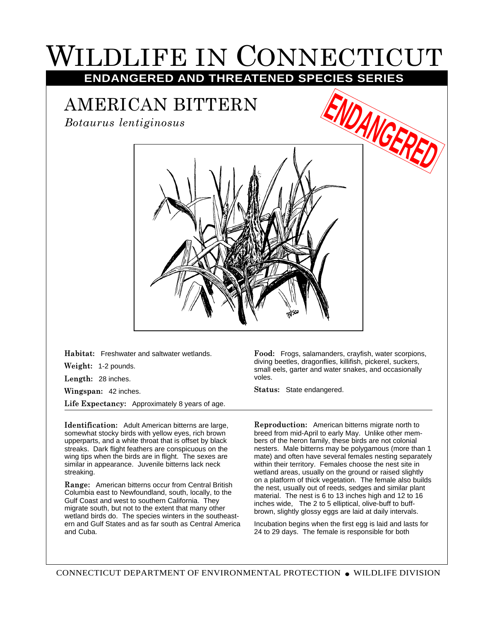## WILDLIFE IN CONNECTICUT **ENDANGERED AND THREATENED SPECIES SERIES**

## AMERICAN BITTERN

*Botaurus lentiginosus*



**Habitat:** Freshwater and saltwater wetlands.

**Weight:** 1-2 pounds.

**Length:** 28 inches.

**Wingspan:** 42 inches.

**Life Expectancy:** Approximately 8 years of age.

**Identification:** Adult American bitterns are large, somewhat stocky birds with yellow eyes, rich brown upperparts, and a white throat that is offset by black streaks. Dark flight feathers are conspicuous on the wing tips when the birds are in flight. The sexes are similar in appearance. Juvenile bitterns lack neck streaking.

**Range:** American bitterns occur from Central British Columbia east to Newfoundland, south, locally, to the Gulf Coast and west to southern California. They migrate south, but not to the extent that many other wetland birds do. The species winters in the southeastern and Gulf States and as far south as Central America and Cuba.

**Food:** Frogs, salamanders, crayfish, water scorpions, diving beetles, dragonflies, killifish, pickerel, suckers, small eels, garter and water snakes, and occasionally voles.

**Status:** State endangered.

**Reproduction:** American bitterns migrate north to breed from mid-April to early May. Unlike other members of the heron family, these birds are not colonial nesters. Male bitterns may be polygamous (more than 1 mate) and often have several females nesting separately within their territory. Females choose the nest site in wetland areas, usually on the ground or raised slightly on a platform of thick vegetation. The female also builds the nest, usually out of reeds, sedges and similar plant material. The nest is 6 to 13 inches high and 12 to 16 inches wide, The 2 to 5 elliptical, olive-buff to buffbrown, slightly glossy eggs are laid at daily intervals.

Incubation begins when the first egg is laid and lasts for 24 to 29 days. The female is responsible for both